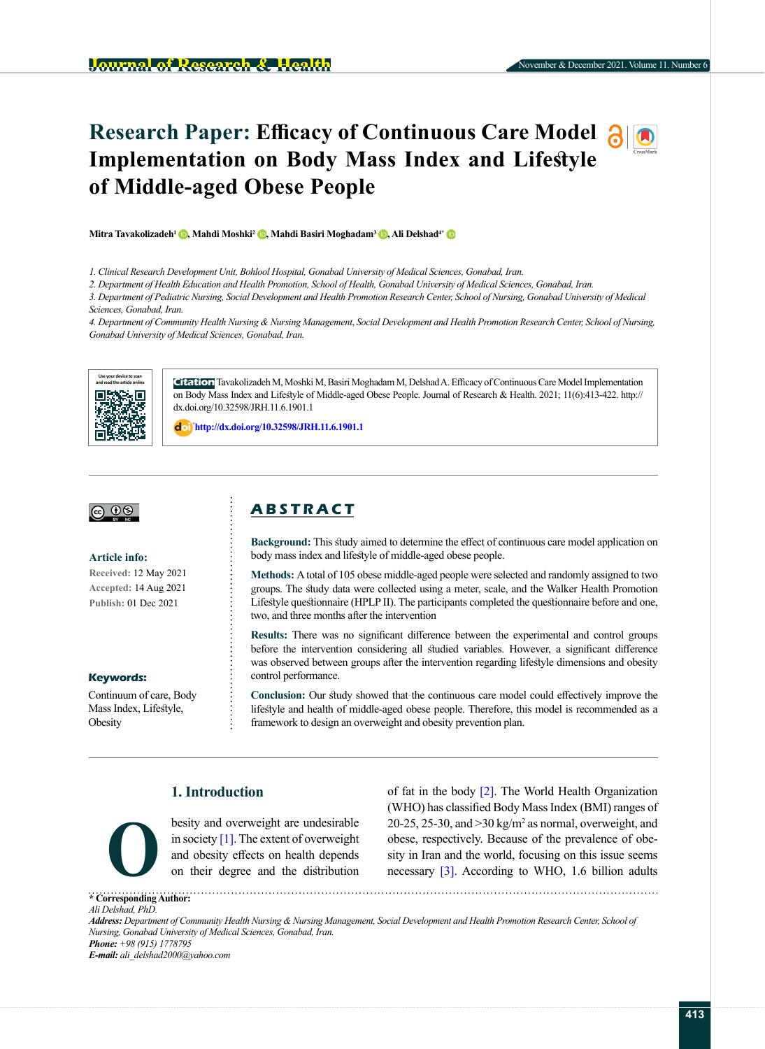# **Research Paper: Efficacy of Continuous Care Model Implementation on Body Mass Index and Lifestyle of Middle-aged Obese People**

**Mitra Tavakolizadeh<sup>1</sup> <b>b**[,](https://orcid.org/0000-0001-5689-2253) Mahdi Moshki<sup>2</sup> **b**[,](http://orcid.org/0000-0001-5115-6214) Mahdi Basiri Moghadam<sup>3</sup> **b**, Ali Delshad<sup>4[\\*](http://orcid.org/0000-0001-9844-7967)</sup> **b** 

*1. Clinical Research Development Unit, Bohlool Hospital, Gonabad University of Medical Sciences, Gonabad, Iran.*

*2. Department of Health Education and Health Promotion, School of Health, Gonabad University of Medical Sciences, Gonabad, Iran.*

*3. Department of Pediatric Nursing, Social Development and Health Promotion Research Center, School of Nursing, Gonabad University of Medical Sciences, Gonabad, Iran.*

*4. Department of Community Health Nursing & Nursing Management*, *Social Development and Health Promotion Research Center, School of Nursing, Gonabad University of Medical Sciences, Gonabad, Iran.*



**Citation** Tavakolizadeh M, Moshki M, Basiri Moghadam M, Delshad A. Efficacy of Continuous Care Model Implementation on Body Mass Index and Lifestyle of Middle-aged Obese People. Journal of Research & Health. 2021; 11(6):413-422. [http://](http://dx.doi.org/%2010.32598/JRH.11.6.1901.1) [dx.doi.org/10.32598/JRH.11.6.1901.1](http://dx.doi.org/%2010.32598/JRH.11.6.1901.1)

: **[http://dx.doi.org/10.32598/JRH.11.6.1901.1](http://dx.doi.org/%2010.32598/JRH.11.6.1901.1)**



#### **Article info:**

**Received:** 12 May 2021 **Accepted:** 14 Aug 2021 **Publish:** 01 Dec 2021

#### **Keywords:**

Continuum of care, Body Mass Index, Lifestyle, **Obesity** 

## **A B S T R A C T**

**Background:** This study aimed to determine the effect of continuous care model application on body mass index and lifestyle of middle-aged obese people.

**Methods:** A total of 105 obese middle-aged people were selected and randomly assigned to two groups. The study data were collected using a meter, scale, and the Walker Health Promotion Lifestyle questionnaire (HPLP II). The participants completed the questionnaire before and one, two, and three months after the intervention

**Results:** There was no significant difference between the experimental and control groups before the intervention considering all studied variables. However, a significant difference was observed between groups after the intervention regarding lifestyle dimensions and obesity control performance.

**Conclusion:** Our study showed that the continuous care model could effectively improve the lifestyle and health of middle-aged obese people. Therefore, this model is recommended as a framework to design an overweight and obesity prevention plan.

## **1. Introduction**



besity and overweight are undesirable in society  $[1]$ . The extent of overweight and obesity effects on health depends on their degree and the distribution

of fat in the body [\[2\].](#page-8-1) The World Health Organization (WHO) has classified Body Mass Index (BMI) ranges of 20-25, 25-30, and  $>$ 30 kg/m<sup>2</sup> as normal, overweight, and [obese,](https://en.wikipedia.org/wiki/Obesity) respectively. Because of the prevalence of obe-Sity and overweight are undestinated and solid and solid and obesity effects on health depends on their degree and the distribution contract the world, focusing on this issue seems on their degree and the distribution cont

**\* Corresponding Author:** *Ali Delshad, PhD. Address: Department of Community Health Nursing & Nursing Management, Social Development and Health Promotion Research Center, School of Nursing, Gonabad University of Medical Sciences, Gonabad, Iran. Phone: +98 (915) 1778795 E-mail: ali\_delshad2000@yahoo.com*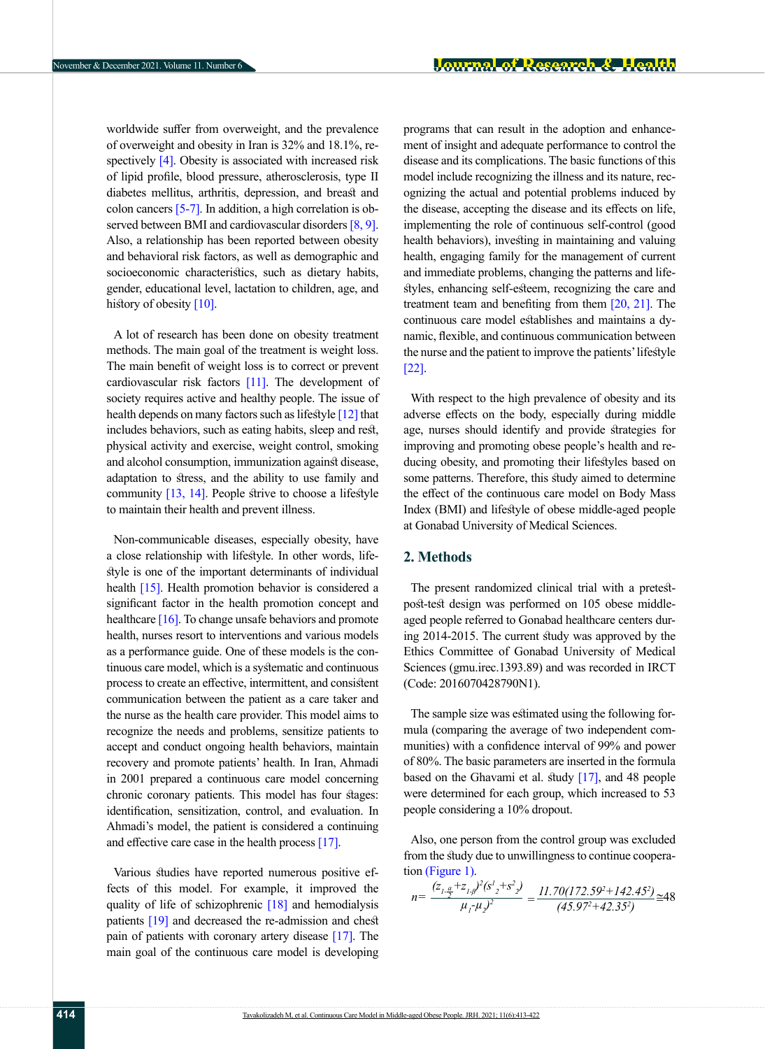worldwide suffer from overweight, and the prevalence of overweight and obesity in Iran is 32% and 18.1%, respectively  $[4]$ . Obesity is associated with increased risk of lipid profile, blood pressure, atherosclerosis, type II diabetes mellitus, arthritis, depression, and breast and colon cancers  $[5-7]$ . In addition, a high correlation is ob-served between BMI and cardiovascular disorders [\[8,](#page-8-5) [9\]](#page-8-6). Also, a relationship has been reported between obesity and behavioral risk factors, as well as demographic and socioeconomic characteristics, such as dietary habits, gender, educational level, lactation to children, age, and history of obesity  $[10]$ .

A lot of research has been done on obesity treatment methods. The main goal of the treatment is weight loss. The main benefit of weight loss is to correct or prevent cardiovascular risk factors [\[11\].](#page-8-8) The development of society requires active and healthy people. The issue of health depends on many factors such as lifestyle [\[12\]](#page-8-9) that includes behaviors, such as eating habits, sleep and rest, physical activity and exercise, weight control, smoking and alcohol consumption, immunization against disease, adaptation to stress, and the ability to use family and community  $[13, 14]$  $[13, 14]$ . People strive to choose a lifestyle to maintain their health and prevent illness.

Non-communicable diseases, especially obesity, have a close relationship with lifestyle. In other words, lifestyle is one of the important determinants of individual health [\[15\].](#page-8-12) Health promotion behavior is considered a significant factor in the health promotion concept and healthcare [\[16\]](#page-8-13). To change unsafe behaviors and promote health, nurses resort to interventions and various models as a performance guide. One of these models is the continuous care model, which is a systematic and continuous process to create an effective, intermittent, and consistent communication between the patient as a care taker and the nurse as the health care provider. This model aims to recognize the needs and problems, sensitize patients to accept and conduct ongoing health behaviors, maintain recovery and promote patients' health. In Iran, Ahmadi in 2001 prepared a continuous care model concerning chronic coronary patients. This model has four stages: identification, sensitization, control, and evaluation. In Ahmadi's model, the patient is considered a continuing and effective care case in the health process [\[17\]](#page-8-14).

Various studies have reported numerous positive effects of this model. For example, it improved the quality of life of schizophrenic [\[18\]](#page-8-15) and hemodialysis patients [\[19\] a](#page-8-16)nd decreased the re-admission and chest pain of patients with coronary artery disease [\[17\]](#page-8-14). The main goal of the continuous care model is developing programs that can result in the adoption and enhancement of insight and adequate performance to control the disease and its complications. The basic functions of this model include recognizing the illness and its nature, recognizing the actual and potential problems induced by the disease, accepting the disease and its effects on life, implementing the role of continuous self-control (good health behaviors), investing in maintaining and valuing health, engaging family for the management of current and immediate problems, changing the patterns and lifestyles, enhancing self-esteem, recognizing the care and treatment team and benefiting from them [\[20,](#page-8-17) [21\]](#page-8-18). The continuous care model establishes and maintains a dynamic, flexible, and continuous communication between the nurse and the patient to improve the patients' lifestyle [\[22\].](#page-8-19)

With respect to the high prevalence of obesity and its adverse effects on the body, especially during middle age, nurses should identify and provide strategies for improving and promoting obese people's health and reducing obesity, and promoting their lifestyles based on some patterns. Therefore, this study aimed to determine the effect of the continuous care model on Body Mass Index (BMI) and lifestyle of obese middle-aged people at Gonabad University of Medical Sciences.

#### **2. Methods**

The present randomized clinical trial with a pretestpost-test design was performed on 105 obese middleaged people referred to Gonabad healthcare centers during 2014-2015. The current study was approved by the Ethics Committee of Gonabad University of Medical Sciences (gmu.irec.1393.89) and was recorded in IRCT (Code: 2016070428790N1).

The sample size was estimated using the following formula (comparing the average of two independent communities) with a confidence interval of 99% and power of 80%. The basic parameters are inserted in the formula based on the Ghavami et al. study  $[17]$ , and 48 people were determined for each group, which increased to 53 people considering a 10% dropout.

Also, one person from the control group was excluded from the study due to unwillingness to continue cooperation [\(Figure 1\).](#page-3-0)

$$
n = \frac{(z_{1\frac{a}{2}} + z_{1\frac{a}{2}})^2 (s_{2}^1 + s_{2}^2)}{\mu_1 \mu_2 y^2} = \frac{11.70(172.59^2 + 142.45^2)}{(45.97^2 + 42.35^2)} \approx 48
$$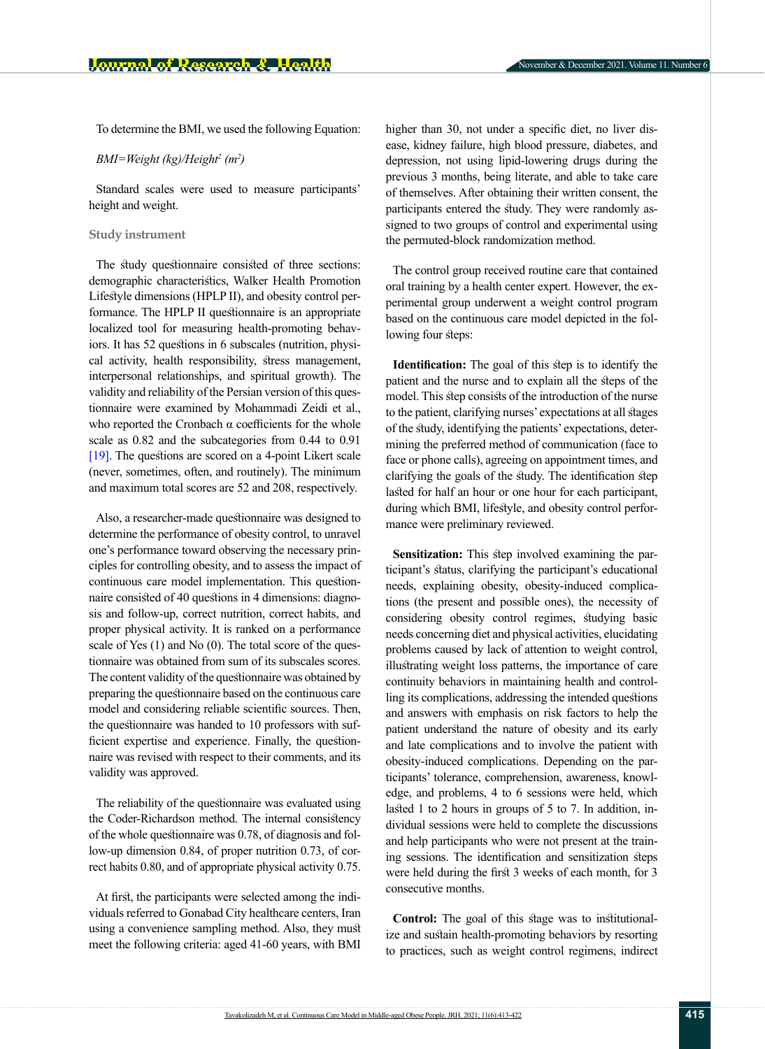To determine the BMI, we used the following Equation:

*BMI=Weight (kg)/Height2 (m2 )*

Standard scales were used to measure participants' height and weight.

#### **Study instrument**

The study questionnaire consisted of three sections: demographic characteristics, Walker Health Promotion Lifestyle dimensions (HPLP II), and obesity control performance. The HPLP II questionnaire is an appropriate localized tool for measuring health-promoting behaviors. It has 52 questions in 6 subscales (nutrition, physical activity, health responsibility, stress management, interpersonal relationships, and spiritual growth). The validity and reliability of the Persian version of this questionnaire were examined by Mohammadi Zeidi et al., who reported the Cronbach  $\alpha$  coefficients for the whole scale as 0.82 and the subcategories from 0.44 to 0.91 [\[19\].](#page-8-16) The questions are scored on a 4-point Likert scale (never, sometimes, often, and routinely). The minimum and maximum total scores are 52 and 208, respectively.

Also, a researcher-made questionnaire was designed to determine the performance of obesity control, to unravel one's performance toward observing the necessary principles for controlling obesity, and to assess the impact of continuous care model implementation. This questionnaire consisted of 40 questions in 4 dimensions: diagnosis and follow-up, correct nutrition, correct habits, and proper physical activity. It is ranked on a performance scale of Yes (1) and No (0). The total score of the questionnaire was obtained from sum of its subscales scores. The content validity of the questionnaire was obtained by preparing the questionnaire based on the continuous care model and considering reliable scientific sources. Then, the questionnaire was handed to 10 professors with sufficient expertise and experience. Finally, the questionnaire was revised with respect to their comments, and its validity was approved.

The reliability of the questionnaire was evaluated using the Coder-Richardson method. The internal consistency of the whole questionnaire was 0.78, of diagnosis and follow-up dimension 0.84, of proper nutrition 0.73, of correct habits 0.80, and of appropriate physical activity 0.75.

At first, the participants were selected among the individuals referred to Gonabad City healthcare centers, Iran using a convenience sampling method. Also, they must meet the following criteria: aged 41-60 years, with BMI higher than 30, not under a specific diet, no liver disease, kidney failure, high blood pressure, diabetes, and depression, not using lipid-lowering drugs during the previous 3 months, being literate, and able to take care of themselves. After obtaining their written consent, the participants entered the study. They were randomly assigned to two groups of control and experimental using the permuted-block randomization method.

The control group received routine care that contained oral training by a health center expert. However, the experimental group underwent a weight control program based on the continuous care model depicted in the following four steps:

**Identification:** The goal of this step is to identify the patient and the nurse and to explain all the steps of the model. This step consists of the introduction of the nurse to the patient, clarifying nurses' expectations at all stages of the study, identifying the patients' expectations, determining the preferred method of communication (face to face or phone calls), agreeing on appointment times, and clarifying the goals of the study. The identification step lasted for half an hour or one hour for each participant, during which BMI, lifestyle, and obesity control performance were preliminary reviewed.

**Sensitization:** This step involved examining the participant's status, clarifying the participant's educational needs, explaining obesity, obesity-induced complications (the present and possible ones), the necessity of considering obesity control regimes, studying basic needs concerning diet and physical activities, elucidating problems caused by lack of attention to weight control, illustrating weight loss patterns, the importance of care continuity behaviors in maintaining health and controlling its complications, addressing the intended questions and answers with emphasis on risk factors to help the patient understand the nature of obesity and its early and late complications and to involve the patient with obesity-induced complications. Depending on the participants' tolerance, comprehension, awareness, knowledge, and problems, 4 to 6 sessions were held, which lasted 1 to 2 hours in groups of 5 to 7. In addition, individual sessions were held to complete the discussions and help participants who were not present at the training sessions. The identification and sensitization steps were held during the first 3 weeks of each month, for 3 consecutive months.

**Control:** The goal of this stage was to institutionalize and sustain health-promoting behaviors by resorting to practices, such as weight control regimens, indirect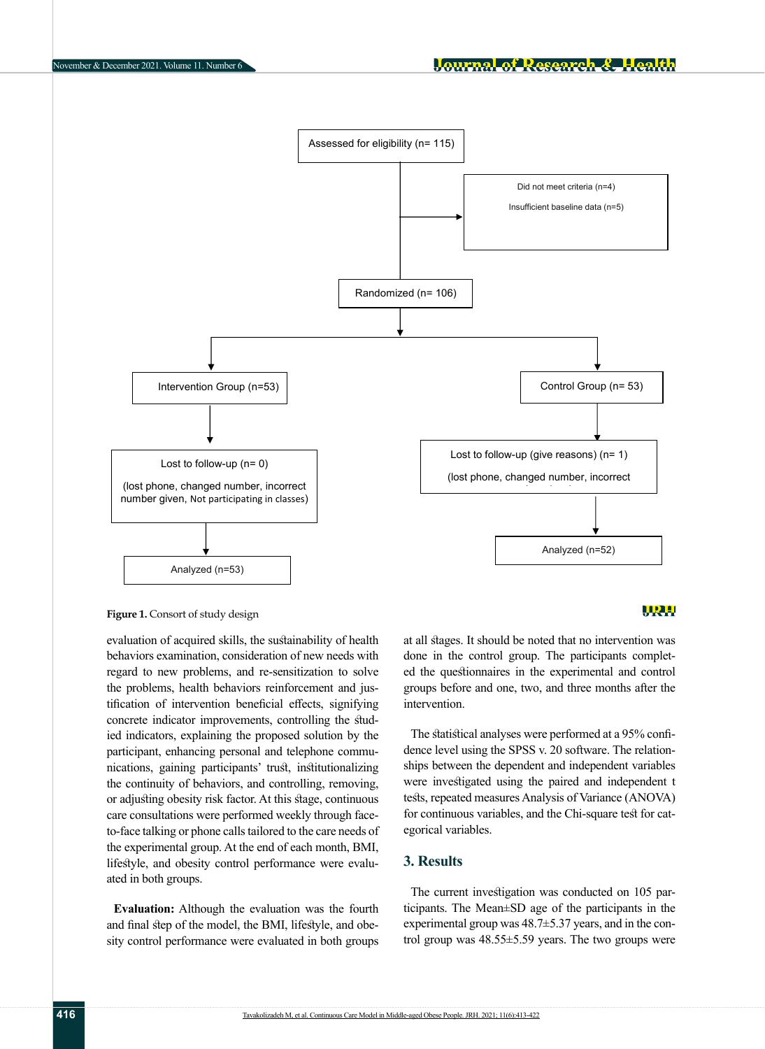

<span id="page-3-0"></span>**Figure 1.** Consort of study design

evaluation of acquired skills, the sustainability of health behaviors examination, consideration of new needs with regard to new problems, and re-sensitization to solve the problems, health behaviors reinforcement and jus- groups before and one, t tification of intervention beneficial effects, signifying concrete indicator improvements, controlling the studied indicators, explaining the proposed solution by the participant, enhancing personal and telephone communications, gaining participants' trust, institutionalizing the continuity of behaviors, and controlling, removing, were investigated using the p or adjusting obesity risk factor. At this stage, continuous care consultations were performed weekly through faceto-face talking or phone calls tailored to the care needs of the experimental group. At the end of each month, BMI, lifestyle, and obesity control performance were evaluated in both groups.  $T = T \cdot T$  to determine the following formula: we use the following formula:  $T \cdot T$ 

**Evaluation:** Although the evaluation was the fourth and final step of the model, the BMI, lifestyle, and obesity control performance were evaluated in both groups

## WRH

at all stages. It should be noted that no intervention was done in the control group. The participants completed the questionnaires in the experimental and control groups before and one, two, and three months after the intervention.

The statistical analyses were performed at a 95% confi- $\frac{1}{2}$  is the study question-<br>the study denote level using the SPSS v. 20 software. The relationships between the dependent and independent variables were investigated using the paired and independent t tests, repeated measures Analysis of Variance (ANOVA) for continuous variables, and the Chi-square test for categorical variables.

## **3. Results**

The current investigation was conducted on 105 participants. The Mean±SD age of the participants in the experimental group was 48.7±5.37 years, and in the control group was 48.55±5.59 years. The two groups were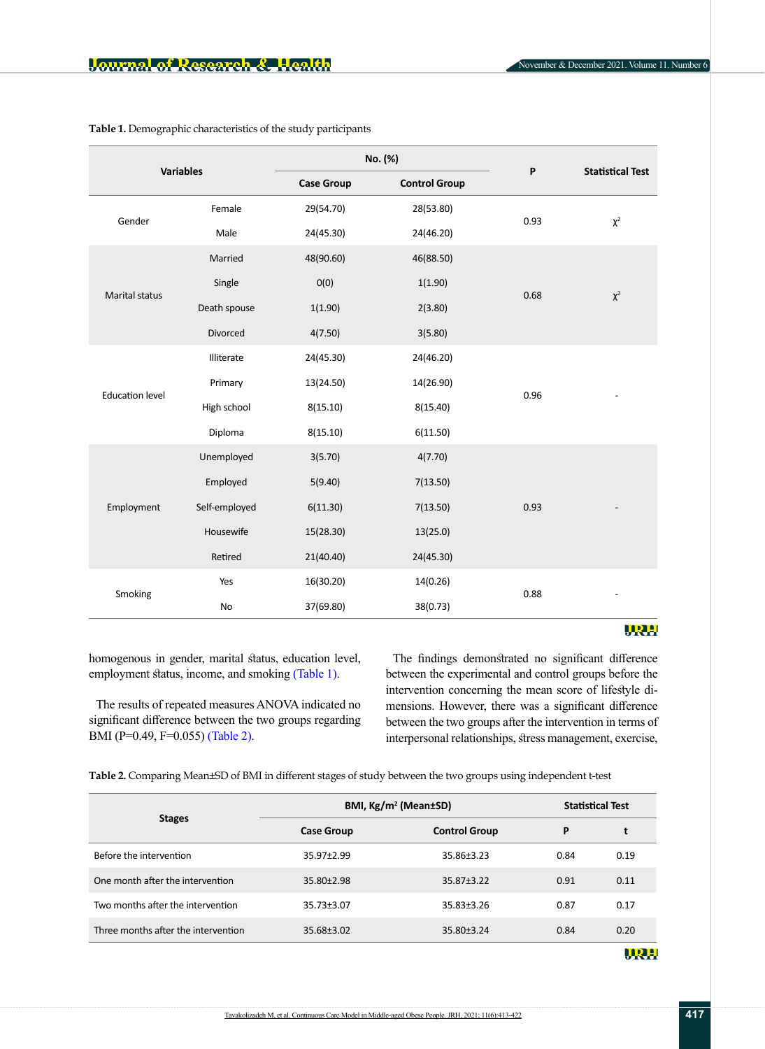| <b>Variables</b>       |               | No. (%)           |                      | P    | <b>Statistical Test</b> |
|------------------------|---------------|-------------------|----------------------|------|-------------------------|
|                        |               | <b>Case Group</b> | <b>Control Group</b> |      |                         |
| Gender                 | Female        | 29(54.70)         | 28(53.80)            | 0.93 | $\chi^2$                |
|                        | Male          | 24(45.30)         | 24(46.20)            |      |                         |
| <b>Marital status</b>  | Married       | 48(90.60)         | 46(88.50)            | 0.68 |                         |
|                        | Single        | O(0)              | 1(1.90)              |      |                         |
|                        | Death spouse  | 1(1.90)           | 2(3.80)              |      | $\chi^2$                |
|                        | Divorced      | 4(7.50)           | 3(5.80)              |      |                         |
| <b>Education level</b> | Illiterate    | 24(45.30)         | 24(46.20)            |      |                         |
|                        | Primary       | 13(24.50)         | 14(26.90)            |      |                         |
|                        | High school   | 8(15.10)          | 8(15.40)             | 0.96 |                         |
|                        | Diploma       | 8(15.10)          | 6(11.50)             |      |                         |
| Employment             | Unemployed    | 3(5.70)           | 4(7.70)              |      |                         |
|                        | Employed      | 5(9.40)           | 7(13.50)             |      |                         |
|                        | Self-employed | 6(11.30)          | 7(13.50)             | 0.93 |                         |
|                        | Housewife     | 15(28.30)         | 13(25.0)             |      |                         |
|                        | Retired       | 21(40.40)         | 24(45.30)            |      |                         |
| Smoking                | Yes           | 16(30.20)         | 14(0.26)             | 0.88 |                         |
|                        | No            | 37(69.80)         | 38(0.73)             |      |                         |

<span id="page-4-0"></span>**Table 1.** Demographic characteristics of the study participants

homogenous in gender, marital status, education level, employment status, income, and smoking [\(Table 1\)](#page-4-0).

The results of repeated measures ANOVA indicated no significant difference between the two groups regarding BMI (P=0.49, F=0.055) [\(Table 2\)](#page-4-1).

The findings demonstrated no significant difference between the experimental and control groups before the intervention concerning the mean score of lifestyle dimensions. However, there was a significant difference between the two groups after the intervention in terms of interpersonal relationships, stress management, exercise,

<span id="page-4-1"></span>**Table 2.** Comparing Mean±SD of BMI in different stages of study between the two groups using independent t-test

|                                     | BMI, Kg/m <sup>2</sup> (Mean±SD) |                      | <b>Statistical Test</b> |      |
|-------------------------------------|----------------------------------|----------------------|-------------------------|------|
| <b>Stages</b>                       | <b>Case Group</b>                | <b>Control Group</b> | P                       | t    |
| Before the intervention             | 35.97±2.99                       | 35.86±3.23           | 0.84                    | 0.19 |
| One month after the intervention    | $35.80 \pm 2.98$                 | $35.87 \pm 3.22$     | 0.91                    | 0.11 |
| Two months after the intervention   | 35.73±3.07                       | 35.83±3.26           | 0.87                    | 0.17 |
| Three months after the intervention | 35.68±3.02                       | 35.80±3.24           | 0.84                    | 0.20 |
|                                     |                                  |                      |                         |      |

URH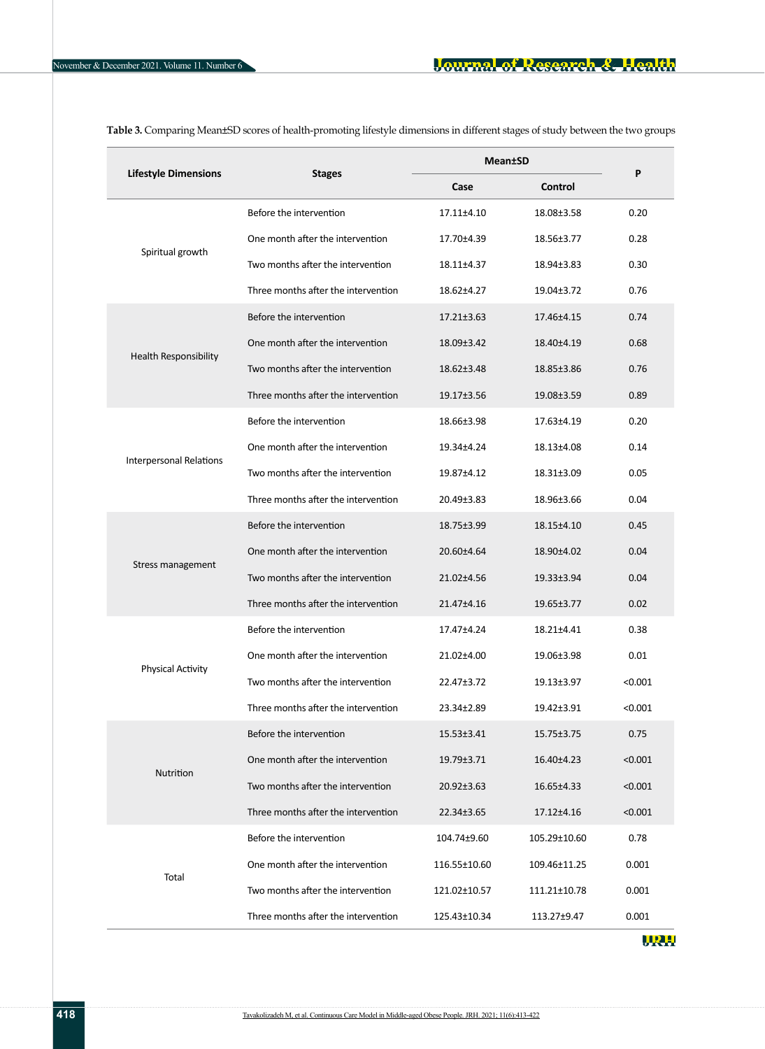| <b>Lifestyle Dimensions</b>    | <b>Stages</b>                       | <b>Mean</b> tSD  | P                |         |  |
|--------------------------------|-------------------------------------|------------------|------------------|---------|--|
|                                |                                     | Case             | Control          |         |  |
|                                | Before the intervention             | 17.11±4.10       | 18.08±3.58       | 0.20    |  |
|                                | One month after the intervention    | 17.70±4.39       | 18.56±3.77       | 0.28    |  |
| Spiritual growth               | Two months after the intervention   | 18.11±4.37       | 18.94±3.83       | 0.30    |  |
|                                | Three months after the intervention | 18.62±4.27       | 19.04±3.72       | 0.76    |  |
|                                | Before the intervention             | 17.21±3.63       | 17.46±4.15       | 0.74    |  |
|                                | One month after the intervention    | 18.09±3.42       | 18.40±4.19       | 0.68    |  |
| Health Responsibility          | Two months after the intervention   | 18.62±3.48       | 18.85±3.86       | 0.76    |  |
|                                | Three months after the intervention | 19.17±3.56       | 19.08±3.59       | 0.89    |  |
|                                | Before the intervention             | 18.66±3.98       | 17.63±4.19       | 0.20    |  |
|                                | One month after the intervention    | 19.34±4.24       | 18.13±4.08       | 0.14    |  |
| <b>Interpersonal Relations</b> | Two months after the intervention   | 19.87±4.12       | 18.31±3.09       | 0.05    |  |
|                                | Three months after the intervention | 20.49±3.83       | 18.96±3.66       | 0.04    |  |
|                                | Before the intervention             | 18.75±3.99       | 18.15±4.10       | 0.45    |  |
| Stress management              | One month after the intervention    | 20.60±4.64       | 18.90±4.02       | 0.04    |  |
|                                | Two months after the intervention   | 21.02±4.56       | 19.33±3.94       | 0.04    |  |
|                                | Three months after the intervention | 21.47±4.16       | 19.65±3.77       | 0.02    |  |
|                                | Before the intervention             | 17.47±4.24       | 18.21±4.41       | 0.38    |  |
| <b>Physical Activity</b>       | One month after the intervention    | 21.02±4.00       | 19.06±3.98       | 0.01    |  |
|                                | Two months after the intervention   | 22.47±3.72       | $19.13 \pm 3.97$ | < 0.001 |  |
|                                | Three months after the intervention | 23.34±2.89       | 19.42±3.91       | < 0.001 |  |
|                                | Before the intervention             | $15.53 \pm 3.41$ | $15.75 \pm 3.75$ | 0.75    |  |
|                                | One month after the intervention    | 19.79±3.71       | 16.40±4.23       | < 0.001 |  |
| <b>Nutrition</b>               | Two months after the intervention   | 20.92±3.63       | 16.65±4.33       | < 0.001 |  |
|                                | Three months after the intervention | 22.34±3.65       | 17.12±4.16       | < 0.001 |  |
|                                | Before the intervention             | 104.74±9.60      | 105.29±10.60     | 0.78    |  |
|                                | One month after the intervention    | 116.55±10.60     | 109.46±11.25     | 0.001   |  |
| Total                          | Two months after the intervention   | 121.02±10.57     | 111.21±10.78     | 0.001   |  |
|                                | Three months after the intervention | 125.43±10.34     | 113.27±9.47      | 0.001   |  |

<span id="page-5-0"></span>**Table 3.** Comparing Mean±SD scores of health-promoting lifestyle dimensions in different stages of study between the two groups

URH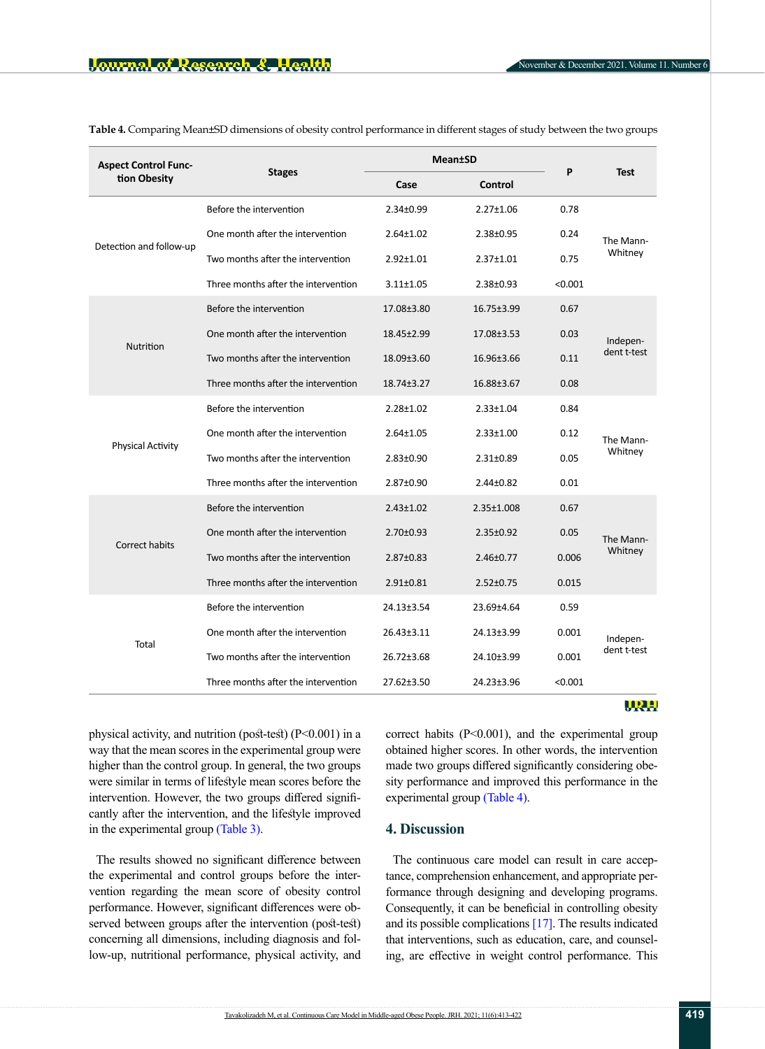| <b>Aspect Control Func-</b> | <b>Stages</b>                       | <b>Mean</b> tSD  |                 | P       |                         |  |
|-----------------------------|-------------------------------------|------------------|-----------------|---------|-------------------------|--|
| tion Obesity                |                                     | Case             | Control         |         | <b>Test</b>             |  |
| Detection and follow-up     | Before the intervention             | $2.34 \pm 0.99$  | $2.27 \pm 1.06$ | 0.78    | The Mann-<br>Whitney    |  |
|                             | One month after the intervention    | $2.64 \pm 1.02$  | $2.38 \pm 0.95$ | 0.24    |                         |  |
|                             | Two months after the intervention   | $2.92 \pm 1.01$  | $2.37 \pm 1.01$ | 0.75    |                         |  |
|                             | Three months after the intervention | $3.11 \pm 1.05$  | 2.38±0.93       | < 0.001 |                         |  |
|                             | Before the intervention             | 17.08±3.80       | 16.75±3.99      | 0.67    | Indepen-<br>dent t-test |  |
|                             | One month after the intervention    | 18.45±2.99       | 17.08±3.53      | 0.03    |                         |  |
| Nutrition                   | Two months after the intervention   | 18.09±3.60       | 16.96±3.66      | 0.11    |                         |  |
|                             | Three months after the intervention | 18.74±3.27       | 16.88±3.67      | 0.08    |                         |  |
|                             | Before the intervention             | $2.28 \pm 1.02$  | $2.33 \pm 1.04$ | 0.84    | The Mann-<br>Whitney    |  |
|                             | One month after the intervention    | $2.64 \pm 1.05$  | $2.33 \pm 1.00$ | 0.12    |                         |  |
| <b>Physical Activity</b>    | Two months after the intervention   | $2.83 \pm 0.90$  | $2.31 \pm 0.89$ | 0.05    |                         |  |
|                             | Three months after the intervention | 2.87±0.90        | $2.44 \pm 0.82$ | 0.01    |                         |  |
|                             | Before the intervention             | $2.43 \pm 1.02$  | 2.35±1.008      | 0.67    | The Mann-<br>Whitney    |  |
|                             | One month after the intervention    | $2.70 \pm 0.93$  | $2.35 \pm 0.92$ | 0.05    |                         |  |
| <b>Correct habits</b>       | Two months after the intervention   | $2.87 \pm 0.83$  | $2.46 \pm 0.77$ | 0.006   |                         |  |
|                             | Three months after the intervention | $2.91 \pm 0.81$  | $2.52 \pm 0.75$ | 0.015   |                         |  |
|                             | Before the intervention             | 24.13±3.54       | 23.69±4.64      | 0.59    |                         |  |
|                             | One month after the intervention    | 26.43±3.11       | 24.13±3.99      | 0.001   | Indepen-<br>dent t-test |  |
| Total                       | Two months after the intervention   | 26.72±3.68       | 24.10±3.99      | 0.001   |                         |  |
|                             | Three months after the intervention | $27.62 \pm 3.50$ | 24.23±3.96      | < 0.001 |                         |  |

<span id="page-6-0"></span>**Table 4.** Comparing Mean±SD dimensions of obesity control performance in different stages of study between the two groups

#### URH

physical activity, and nutrition (post-test) (P<0.001) in a way that the mean scores in the experimental group were higher than the control group. In general, the two groups were similar in terms of lifestyle mean scores before the intervention. However, the two groups differed significantly after the intervention, and the lifestyle improved in the experimental group [\(Table 3\)](#page-5-0).

The results showed no significant difference between the experimental and control groups before the intervention regarding the mean score of obesity control performance. However, significant differences were observed between groups after the intervention (post-test) concerning all dimensions, including diagnosis and follow-up, nutritional performance, physical activity, and correct habits  $(P<0.001)$ , and the experimental group obtained higher scores. In other words, the intervention made two groups differed significantly considering obesity performance and improved this performance in the experimental group [\(Table 4\)](#page-6-0).

## **4. Discussion**

The continuous care model can result in care acceptance, comprehension enhancement, and appropriate performance through designing and developing programs. Consequently, it can be beneficial in controlling obesity and its possible complications [\[17\]](#page-8-14). The results indicated that interventions, such as education, care, and counseling, are effective in weight control performance. This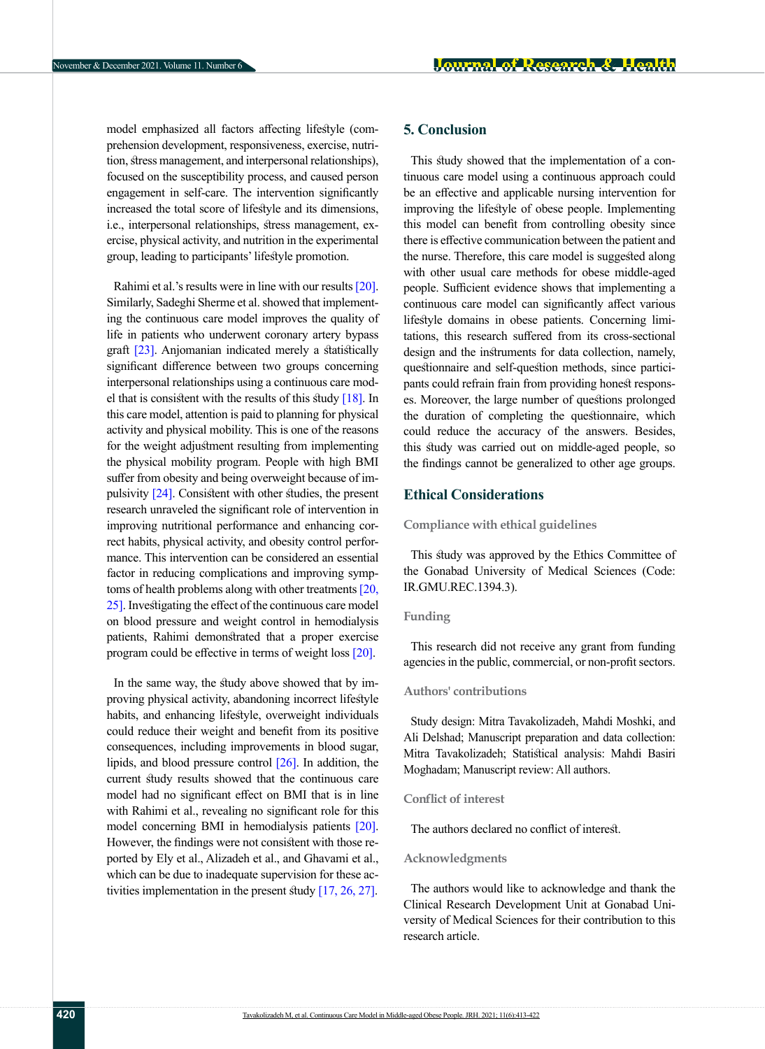model emphasized all factors affecting lifestyle (comprehension development, responsiveness, exercise, nutrition, stress management, and interpersonal relationships), focused on the susceptibility process, and caused person engagement in self-care. The intervention significantly increased the total score of lifestyle and its dimensions, i.e., interpersonal relationships, stress management, exercise, physical activity, and nutrition in the experimental group, leading to participants' lifestyle promotion.

Rahimi et al.'s results were in line with our results [\[20\]](#page-8-17). Similarly, Sadeghi Sherme et al. showed that implementing the continuous care model improves the quality of life in patients who underwent coronary artery bypass graft [\[23\]](#page-8-20). Anjomanian indicated merely a statistically significant difference between two groups concerning interpersonal relationships using a continuous care model that is consistent with the results of this study  $[18]$ . In this care model, attention is paid to planning for physical activity and physical mobility. This is one of the reasons for the weight adjustment resulting from implementing the physical mobility program. People with high BMI suffer from obesity and being overweight because of impulsivity [\[24\]](#page-8-21). Consistent with other studies, the present research unraveled the significant role of intervention in improving nutritional performance and enhancing correct habits, physical activity, and obesity control performance. This intervention can be considered an essential factor in reducing complications and improving symptoms of health problems along with other treatments [\[20,](#page-8-17) [25\].](#page-8-22) Investigating the effect of the continuous care model on blood pressure and weight control in hemodialysis patients, Rahimi demonstrated that a proper exercise program could be effective in terms of weight loss [\[20\]](#page-8-17).

In the same way, the study above showed that by improving physical activity, abandoning incorrect lifestyle habits, and enhancing lifestyle, overweight individuals could reduce their weight and benefit from its positive consequences, including improvements in blood sugar, lipids, and blood pressure control [\[26\]](#page-9-0). In addition, the current study results showed that the continuous care model had no significant effect on BMI that is in line with Rahimi et al., revealing no significant role for this model concerning BMI in hemodialysis patients [\[20\]](#page-8-17). However, the findings were not consistent with those reported by Ely et al., Alizadeh et al., and Ghavami et al., which can be due to inadequate supervision for these activities implementation in the present study [\[17,](#page-8-14) [26,](#page-9-0) [27\].](#page-9-1)

## **5. Conclusion**

This study showed that the implementation of a continuous care model using a continuous approach could be an effective and applicable nursing intervention for improving the lifestyle of obese people. Implementing this model can benefit from controlling obesity since there is effective communication between the patient and the nurse. Therefore, this care model is suggested along with other usual care methods for obese middle-aged people. Sufficient evidence shows that implementing a continuous care model can significantly affect various lifestyle domains in obese patients. Concerning limitations, this research suffered from its cross-sectional design and the instruments for data collection, namely, questionnaire and self-question methods, since participants could refrain frain from providing honest responses. Moreover, the large number of questions prolonged the duration of completing the questionnaire, which could reduce the accuracy of the answers. Besides, this study was carried out on middle-aged people, so the findings cannot be generalized to other age groups.

### **Ethical Considerations**

**Compliance with ethical guidelines**

This study was approved by the Ethics Committee of the Gonabad University of Medical Sciences (Code: IR.GMU.REC.1394.3).

#### **Funding**

This research did not receive any grant from funding agencies in the public, commercial, or non-profit sectors.

#### **Authors' contributions**

Study design: Mitra Tavakolizadeh, Mahdi Moshki, and Ali Delshad; Manuscript preparation and data collection: Mitra Tavakolizadeh; Statistical analysis: Mahdi Basiri Moghadam; Manuscript review: All authors.

#### **Conflict of interest**

The authors declared no conflict of interest.

#### **Acknowledgments**

The authors would like to acknowledge and thank the Clinical Research Development Unit at Gonabad University of Medical Sciences for their contribution to this research article.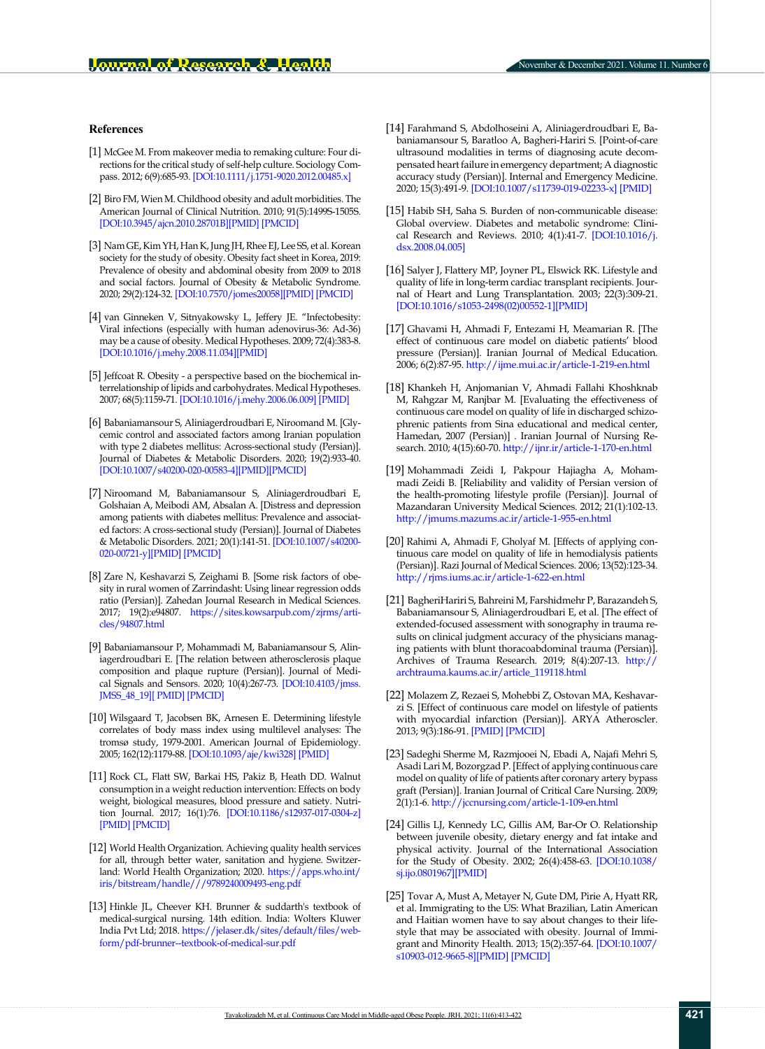#### **References**

- <span id="page-8-0"></span>[1] McGee M. From makeover media to remaking culture: Four directions for the critical study of self-help culture. Sociology Compass. 2012; 6(9):685-93. [\[DOI:10.1111/j.1751-9020.2012.00485.x\]](https://onlinelibrary.wiley.com/doi/abs/10.1111/j.1751-9020.2012.00485.x)
- <span id="page-8-1"></span>[2] Biro FM, Wien M. Childhood obesity and adult morbidities. The American Journal of Clinical Nutrition. 2010; 91(5):1499S-1505S. [[DOI:10.3945/ajcn.2010.28701B\]](https://doi.org/10.3945/ajcn.2010.28701b)[[PMID](https://pubmed.ncbi.nlm.nih.gov/20335542/)] [\[PMCID\]](http://www.ncbi.nlm.nih.gov/pmc/articles/pmc2854915/)
- <span id="page-8-2"></span>[3] Nam GE, Kim YH, Han K, Jung JH, Rhee EJ, Lee SS, et al. Korean society for the study of obesity. Obesity fact sheet in Korea, 2019: Prevalence of obesity and abdominal obesity from 2009 to 2018 and social factors. Journal of Obesity & Metabolic Syndrome. 2020; 29(2):124-32. [\[DOI:10.7570/jomes20058](https://doi.org/10.7570/jomes20058)][\[PMID\]](https://pubmed.ncbi.nlm.nih.gov/32581145/) [\[PMCID](http://www.ncbi.nlm.nih.gov/pmc/articles/pmc7338491/)]
- <span id="page-8-3"></span>[4] van Ginneken V, Sitnyakowsky L, Jeffery JE. "Infectobesity: Viral infections (especially with human adenovirus-36: Ad-36) may be a cause of obesity. Medical Hypotheses. 2009; 72(4):383-8. [[DOI:10.1016/j.mehy.2008.11.034](https://doi.org/10.1016/j.mehy.2008.11.034)][\[PMID\]](https://pubmed.ncbi.nlm.nih.gov/19138827/)
- <span id="page-8-4"></span>[5] Jeffcoat R. Obesity - a perspective based on the biochemical interrelationship of lipids and carbohydrates. Medical Hypotheses. 2007; 68(5):1159-71. [[DOI:10.1016/j.mehy.2006.06.009\]](https://doi.org/10.1016/j.mehy.2006.06.009) [\[PMID](https://pubmed.ncbi.nlm.nih.gov/17257774/)]
- [6] Babaniamansour S, Aliniagerdroudbari E, Niroomand M. [Glycemic control and associated factors among Iranian population with type 2 diabetes mellitus: Across-sectional study (Persian)]. Journal of Diabetes & Metabolic Disorders. 2020; 19(2):933-40. [[DOI:10.1007/s40200-020-00583-4\]](https://doi.org/10.1007/s40200-020-00583-4)[\[PMID](https://pubmed.ncbi.nlm.nih.gov/33520813/)][[PMCID\]](http://www.ncbi.nlm.nih.gov/pmc/articles/pmc7843766/)
- [7] Niroomand M, Babaniamansour S, Aliniagerdroudbari E, Golshaian A, Meibodi AM, Absalan A. [Distress and depression among patients with diabetes mellitus: Prevalence and associated factors: A cross-sectional study (Persian)]. Journal of Diabetes & Metabolic Disorders. 2021; 20(1):141-51. [[DOI:10.1007/s40200-](https://doi.org/10.1007/s40200-020-00721-y) [020-00721-y\]](https://doi.org/10.1007/s40200-020-00721-y)[\[PMID](https://pubmed.ncbi.nlm.nih.gov/34178826/)] [[PMCID\]](file:///M:/Negah%20Publication/Mags/Gonabad%20University/JRH/JRH-V11/JRH-V11-N6/Word/Re/PMC8212327%20(available%20on%202022-01-18))
- <span id="page-8-5"></span>[8] Zare N, Keshavarzi S, Zeighami B. [Some risk factors of obesity in rural women of Zarrindasht: Using linear regression odds ratio (Persian)]. Zahedan Journal Research in Medical Sciences. 2017; 19(2):e94807. [https://sites.kowsarpub.com/zjrms/arti](https://sites.kowsarpub.com/zjrms/articles/94807.html)[cles/94807.html](https://sites.kowsarpub.com/zjrms/articles/94807.html)
- <span id="page-8-6"></span>[9] Babaniamansour P, Mohammadi M, Babaniamansour S, Aliniagerdroudbari E. [The relation between atherosclerosis plaque composition and plaque rupture (Persian)]. Journal of Medical Signals and Sensors. 2020; 10(4):267-73. [\[DOI:10.4103/jmss.](https://doi.org/10.4103/jmss.jmss_48_19) [JMSS\\_48\\_19\]](https://doi.org/10.4103/jmss.jmss_48_19)[ [PMID\]](https://pubmed.ncbi.nlm.nih.gov/33575199/) [\[PMCID](http://www.ncbi.nlm.nih.gov/pmc/articles/pmc7866947/)]
- <span id="page-8-7"></span>[10] Wilsgaard T, Jacobsen BK, Arnesen E. Determining lifestyle correlates of body mass index using multilevel analyses: The tromsø study, 1979-2001. American Journal of Epidemiology. 2005; 162(12):1179-88. [\[DOI:10.1093/aje/kwi328\]](https://doi.org/10.1093/aje/kwi328) [\[PMID\]](https://pubmed.ncbi.nlm.nih.gov/16269586/)
- <span id="page-8-8"></span>[11] Rock CL, Flatt SW, Barkai HS, Pakiz B, Heath DD. Walnut consumption in a weight reduction intervention: Effects on body weight, biological measures, blood pressure and satiety. Nutrition Journal. 2017; 16(1):76. [\[DOI:10.1186/s12937-017-0304-z](https://doi.org/10.1186/s12937-017-0304-z)] [[PMID](https://pubmed.ncbi.nlm.nih.gov/29202751/)] [\[PMCID](http://www.ncbi.nlm.nih.gov/pmc/articles/pmc5715655/)]
- <span id="page-8-9"></span>[12] World Health Organization. Achieving quality health services for all, through better water, sanitation and hygiene. Switzerland: World Health Organization; 2020. [https://apps.who.int/](https://apps.who.int/iris/bitstream/handle/10665/333783/9789240009493-eng.pdf) [iris/bitstream/handle///9789240009493-eng.pdf](https://apps.who.int/iris/bitstream/handle/10665/333783/9789240009493-eng.pdf)
- <span id="page-8-10"></span>[13] Hinkle JL, Cheever KH. Brunner & suddarth's textbook of medical-surgical nursing. 14th edition. India: Wolters Kluwer India Pvt Ltd; 2018. [https://jelaser.dk/sites/default/files/web](https://jelaser.dk/sites/default/files/webform/pdf-brunner--suddarths-textbook-of-medical-surgical-n)[form/pdf-brunner--textbook-of-medical-sur.pdf](https://jelaser.dk/sites/default/files/webform/pdf-brunner--suddarths-textbook-of-medical-surgical-n)
- <span id="page-8-11"></span>[14] Farahmand S, Abdolhoseini A, Aliniagerdroudbari E, Babaniamansour S, Baratloo A, Bagheri-Hariri S. [Point-of-care ultrasound modalities in terms of diagnosing acute decompensated heart failure in emergency department; A diagnostic accuracy study (Persian)]. Internal and Emergency Medicine. 2020; 15(3):491-9. [\[DOI:10.1007/s11739-019-02233-x](https://doi.org/10.1007/s11739-019-02233-x)] [\[PMID](https://pubmed.ncbi.nlm.nih.gov/31786750/)]
- <span id="page-8-12"></span>[15] Habib SH, Saha S. Burden of non-communicable disease: Global overview. Diabetes and metabolic syndrome: Clinical Research and Reviews. 2010; 4(1):41-7. [\[DOI:10.1016/j.](https://doi.org/10.1016/j.dsx.2008.04.005) [dsx.2008.04.005](https://doi.org/10.1016/j.dsx.2008.04.005)]
- <span id="page-8-13"></span>[16] Salyer J, Flattery MP, Joyner PL, Elswick RK. Lifestyle and quality of life in long-term cardiac transplant recipients. Journal of Heart and Lung Transplantation. 2003; 22(3):309-21. [[DOI:10.1016/s1053-2498\(02\)00552-1](https://doi.org/10.1016/s1053-2498(02)00552-1)][\[PMID\]](https://pubmed.ncbi.nlm.nih.gov/12633699/)
- <span id="page-8-14"></span>[17] Ghavami H, Ahmadi F, Entezami H, Meamarian R. [The effect of continuous care model on diabetic patients' blood pressure (Persian)]. Iranian Journal of Medical Education. 2006; 6(2):87-95. <http://ijme.mui.ac.ir/article-1-219-en.html>
- <span id="page-8-15"></span>[18] Khankeh H, Anjomanian V, Ahmadi Fallahi Khoshknab M, Rahgzar M, Ranjbar M. [Evaluating the effectiveness of continuous care model on quality of life in discharged schizophrenic patients from Sina educational and medical center, Hamedan, 2007 (Persian)] . Iranian Journal of Nursing Research. 2010; 4(15):60-70.<http://ijnr.ir/article-1-170-en.html>
- <span id="page-8-16"></span>[19] Mohammadi Zeidi I, Pakpour Hajiagha A, Mohammadi Zeidi B. [Reliability and validity of Persian version of the health-promoting lifestyle profile (Persian)]. Journal of Mazandaran University Medical Sciences. 2012; 21(1):102-13. <http://jmums.mazums.ac.ir/article-1-955-en.html>
- <span id="page-8-17"></span>[20] Rahimi A, Ahmadi F, Gholyaf M. [Effects of applying continuous care model on quality of life in hemodialysis patients (Persian)]. Razi Journal of Medical Sciences. 2006; 13(52):123-34. <http://rjms.iums.ac.ir/article-1-622-en.html>
- <span id="page-8-18"></span>[21] BagheriHariri S, Bahreini M, Farshidmehr P, Barazandeh S, Babaniamansour S, Aliniagerdroudbari E, et al. [The effect of extended-focused assessment with sonography in trauma results on clinical judgment accuracy of the physicians managing patients with blunt thoracoabdominal trauma (Persian)]. Archives of Trauma Research. 2019; 8(4):207-13. [http://](http://archtrauma.kaums.ac.ir/article_119118.html) [archtrauma.kaums.ac.ir/article\\_119118.html](http://archtrauma.kaums.ac.ir/article_119118.html)
- <span id="page-8-19"></span>[22] Molazem Z, Rezaei S, Mohebbi Z, Ostovan MA, Keshavarzi S. [Effect of continuous care model on lifestyle of patients with myocardial infarction (Persian)]. ARYA Atheroscler. 2013; 9(3):186-91. [\[PMID\]](https://pubmed.ncbi.nlm.nih.gov/23766775/) [[PMCID\]](http://www.ncbi.nlm.nih.gov/pmc/articles/pmc3681277/)
- <span id="page-8-20"></span>[23] Sadeghi Sherme M, Razmjooei N, Ebadi A, Najafi Mehri S, Asadi Lari M, Bozorgzad P. [Effect of applying continuous care model on quality of life of patients after coronary artery bypass graft (Persian)]. Iranian Journal of Critical Care Nursing. 2009; 2(1):1-6.<http://jccnursing.com/article-1-109-en.html>
- <span id="page-8-21"></span>[24] Gillis LJ, Kennedy LC, Gillis AM, Bar-Or O. Relationship between juvenile obesity, dietary energy and fat intake and physical activity. Journal of the International Association for the Study of Obesity. 2002; 26(4):458-63. [[DOI:10.1038/](https://doi.org/10.1038/sj.ijo.0801967) [sj.ijo.0801967\]](https://doi.org/10.1038/sj.ijo.0801967)[\[PMID\]](https://pubmed.ncbi.nlm.nih.gov/12075571/)
- <span id="page-8-22"></span>[25] Tovar A, Must A, Metayer N, Gute DM, Pirie A, Hyatt RR, et al. Immigrating to the US: What Brazilian, Latin American and Haitian women have to say about changes to their lifestyle that may be associated with obesity. Journal of Immigrant and Minority Health. 2013; 15(2):357-64. [\[DOI:10.1007/](https://doi.org/10.1007/s10903-012-9665-8) [s10903-012-9665-8](https://doi.org/10.1007/s10903-012-9665-8)][\[PMID\]](https://pubmed.ncbi.nlm.nih.gov/22736266/) [[PMCID](http://www.ncbi.nlm.nih.gov/pmc/articles/pmc3504193/)]